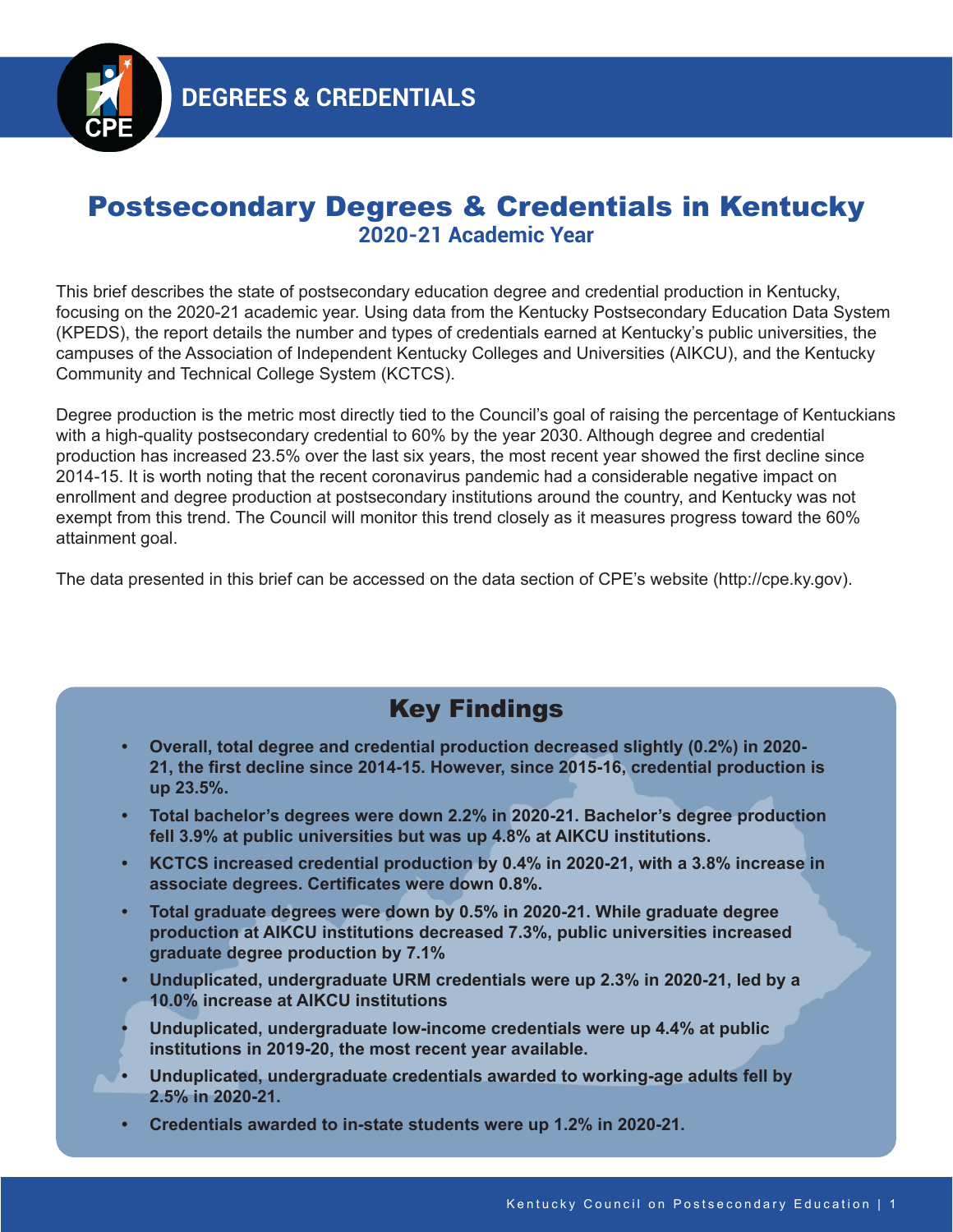

# Postsecondary Degrees & Credentials in Kentucky **2020-21 Academic Year**

This brief describes the state of postsecondary education degree and credential production in Kentucky, focusing on the 2020-21 academic year. Using data from the Kentucky Postsecondary Education Data System (KPEDS), the report details the number and types of credentials earned at Kentucky's public universities, the campuses of the Association of Independent Kentucky Colleges and Universities (AIKCU), and the Kentucky Community and Technical College System (KCTCS).

Degree production is the metric most directly tied to the Council's goal of raising the percentage of Kentuckians with a high-quality postsecondary credential to 60% by the year 2030. Although degree and credential production has increased 23.5% over the last six years, the most recent year showed the first decline since 2014-15. It is worth noting that the recent coronavirus pandemic had a considerable negative impact on enrollment and degree production at postsecondary institutions around the country, and Kentucky was not exempt from this trend. The Council will monitor this trend closely as it measures progress toward the 60% attainment goal.

The data presented in this brief can be accessed on the data section of CPE's website (http://cpe.ky.gov).

# Key Findings

- **• Overall, total degree and credential production decreased slightly (0.2%) in 2020- 21, the first decline since 2014-15. However, since 2015-16, credential production is up 23.5%.**
- **• Total bachelor's degrees were down 2.2% in 2020-21. Bachelor's degree production fell 3.9% at public universities but was up 4.8% at AIKCU institutions.**
- **• KCTCS increased credential production by 0.4% in 2020-21, with a 3.8% increase in associate degrees. Certificates were down 0.8%.**
- **• Total graduate degrees were down by 0.5% in 2020-21. While graduate degree production at AIKCU institutions decreased 7.3%, public universities increased graduate degree production by 7.1%**
- **• Unduplicated, undergraduate URM credentials were up 2.3% in 2020-21, led by a 10.0% increase at AIKCU institutions**
- **• Unduplicated, undergraduate low-income credentials were up 4.4% at public institutions in 2019-20, the most recent year available.**
- **• Unduplicated, undergraduate credentials awarded to working-age adults fell by 2.5% in 2020-21.**
- **• Credentials awarded to in-state students were up 1.2% in 2020-21.**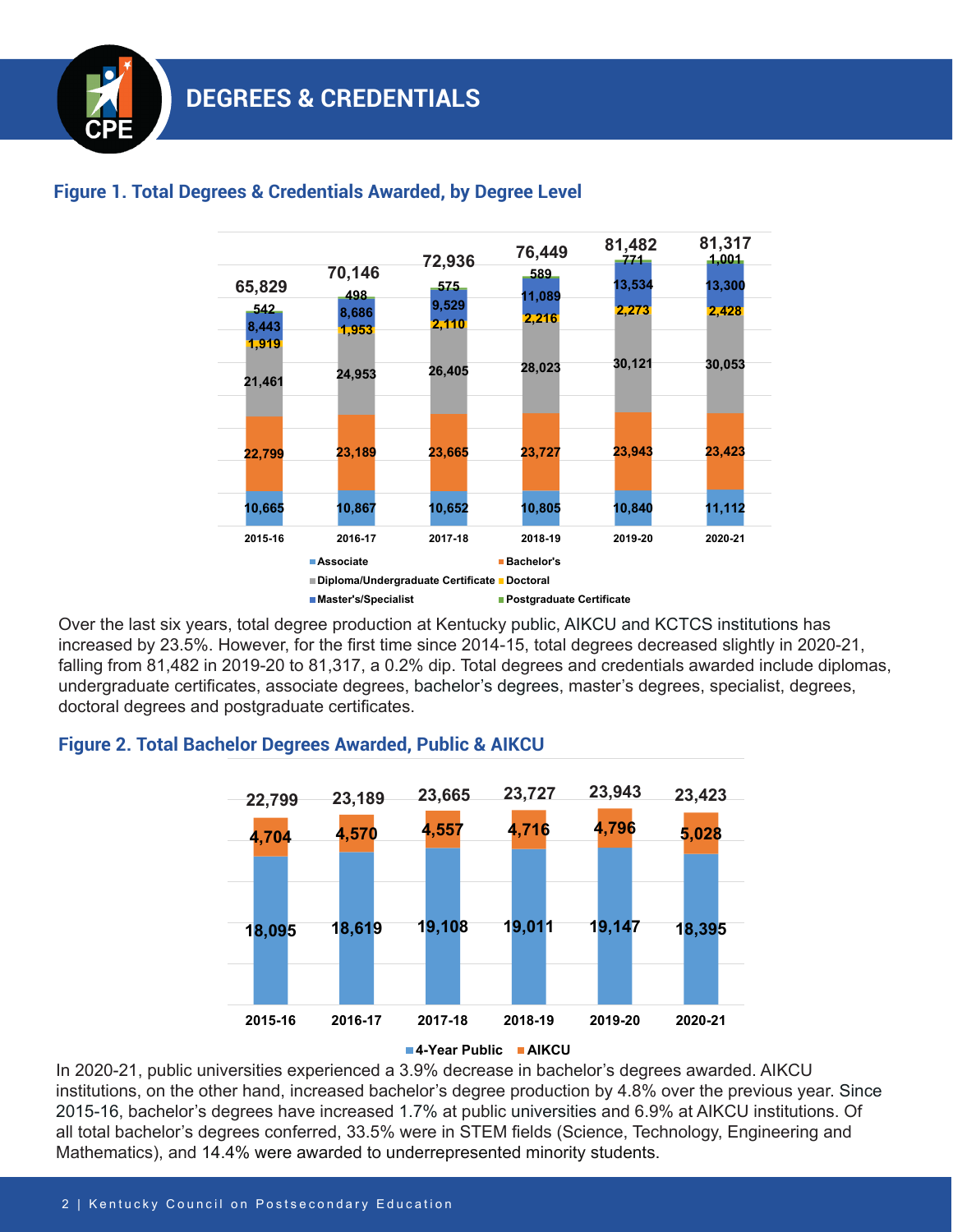

# **Figure 1. Total Degrees & Credentials Awarded, by Degree Level**

Over the last six years, total degree production at Kentucky public, AIKCU and KCTCS institutions has increased by 23.5%. However, for the first time since 2014-15, total degrees decreased slightly in 2020-21, falling from 81,482 in 2019-20 to 81,317, a 0.2% dip. Total degrees and credentials awarded include diplomas, undergraduate certificates, associate degrees, bachelor's degrees, master's degrees, specialist, degrees, doctoral degrees and postgraduate certificates.

## **Figure 2. Total Bachelor Degrees Awarded, Public & AIKCU**



In 2020-21, public universities experienced a 3.9% decrease in bachelor's degrees awarded. AIKCU institutions, on the other hand, increased bachelor's degree production by 4.8% over the previous year. Since 2015-16, bachelor's degrees have increased 1.7% at public universities and 6.9% at AIKCU institutions. Of all total bachelor's degrees conferred, 33.5% were in STEM fields (Science, Technology, Engineering and Mathematics), and 14.4% were awarded to underrepresented minority students.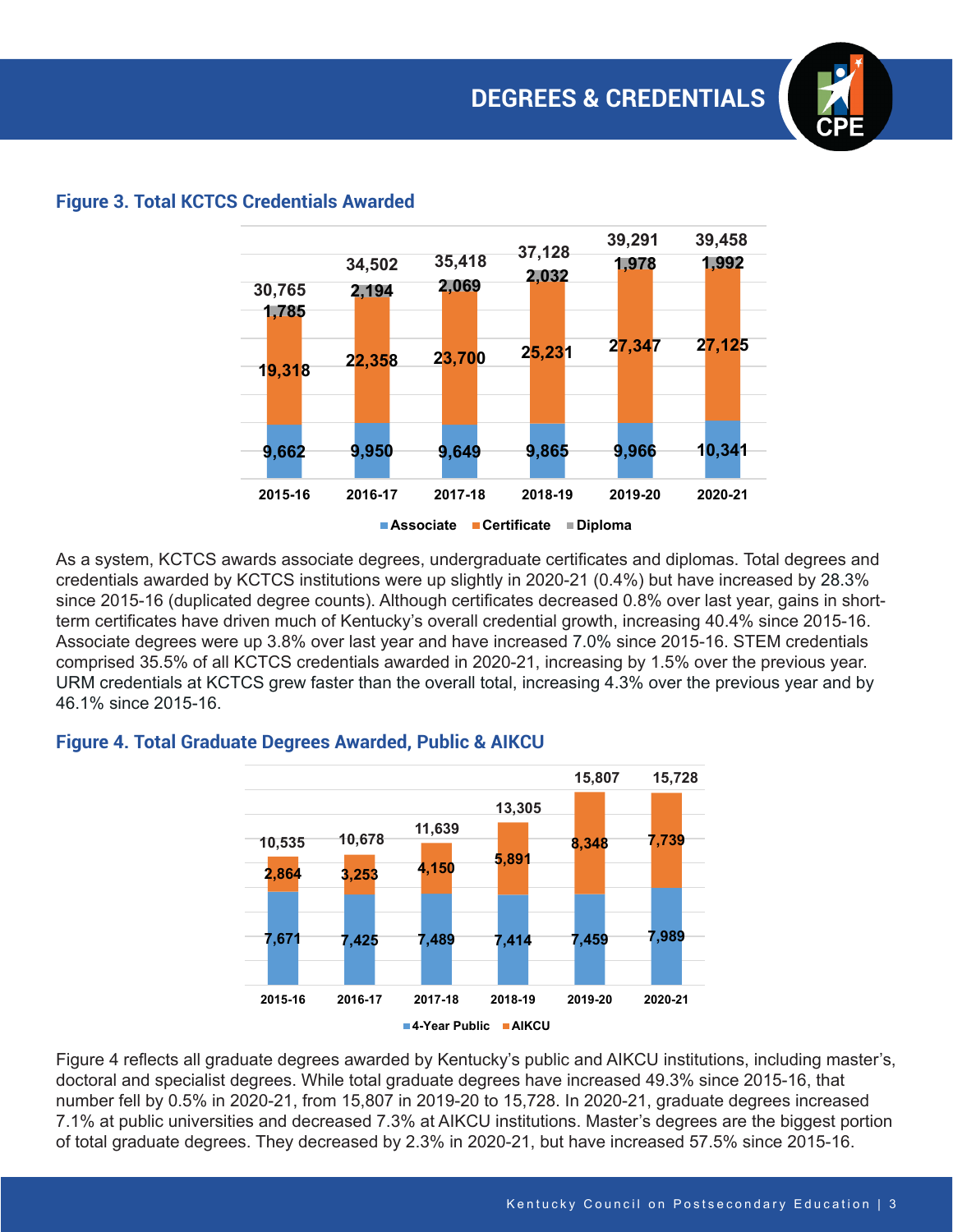

### **Figure 3. Total KCTCS Credentials Awarded**

As a system, KCTCS awards associate degrees, undergraduate certificates and diplomas. Total degrees and credentials awarded by KCTCS institutions were up slightly in 2020-21 (0.4%) but have increased by 28.3% since 2015-16 (duplicated degree counts). Although certificates decreased 0.8% over last year, gains in shortterm certificates have driven much of Kentucky's overall credential growth, increasing 40.4% since 2015-16. Associate degrees were up 3.8% over last year and have increased 7.0% since 2015-16. STEM credentials comprised 35.5% of all KCTCS credentials awarded in 2020-21, increasing by 1.5% over the previous year. URM credentials at KCTCS grew faster than the overall total, increasing 4.3% over the previous year and by 46.1% since 2015-16.



#### **Figure 4. Total Graduate Degrees Awarded, Public & AIKCU**

Figure 4 reflects all graduate degrees awarded by Kentucky's public and AIKCU institutions, including master's, doctoral and specialist degrees. While total graduate degrees have increased 49.3% since 2015-16, that number fell by 0.5% in 2020-21, from 15,807 in 2019-20 to 15,728. In 2020-21, graduate degrees increased 7.1% at public universities and decreased 7.3% at AIKCU institutions. Master's degrees are the biggest portion of total graduate degrees. They decreased by 2.3% in 2020-21, but have increased 57.5% since 2015-16.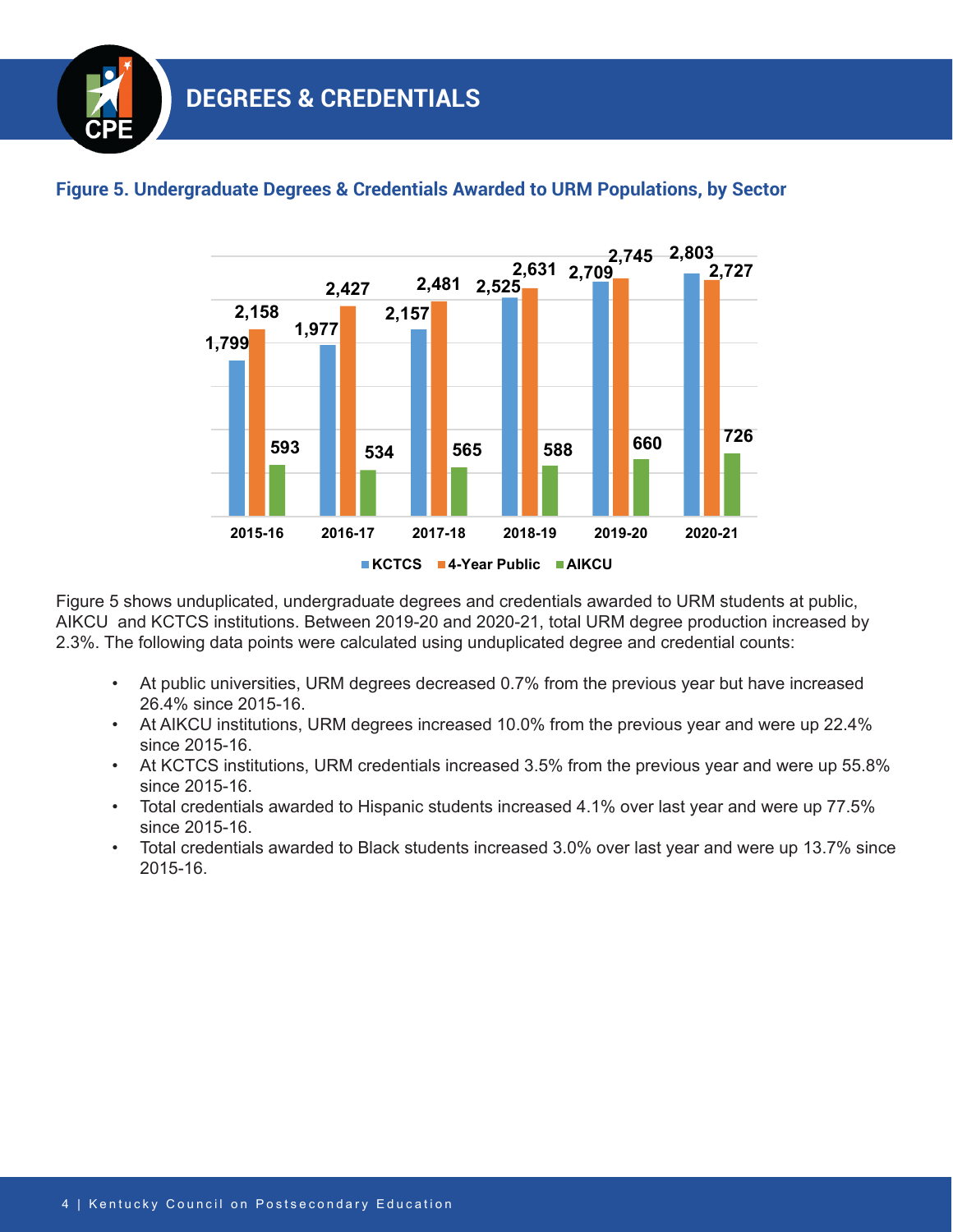

### **Figure 5. Undergraduate Degrees & Credentials Awarded to URM Populations, by Sector**

Figure 5 shows unduplicated, undergraduate degrees and credentials awarded to URM students at public, AIKCU and KCTCS institutions. Between 2019-20 and 2020-21, total URM degree production increased by 2.3%. The following data points were calculated using unduplicated degree and credential counts:

- At public universities, URM degrees decreased 0.7% from the previous year but have increased 26.4% since 2015-16.
- At AIKCU institutions, URM degrees increased 10.0% from the previous year and were up 22.4% since 2015-16.
- At KCTCS institutions, URM credentials increased 3.5% from the previous year and were up 55.8% since 2015-16.
- Total credentials awarded to Hispanic students increased 4.1% over last year and were up 77.5% since 2015-16.
- Total credentials awarded to Black students increased 3.0% over last year and were up 13.7% since 2015-16.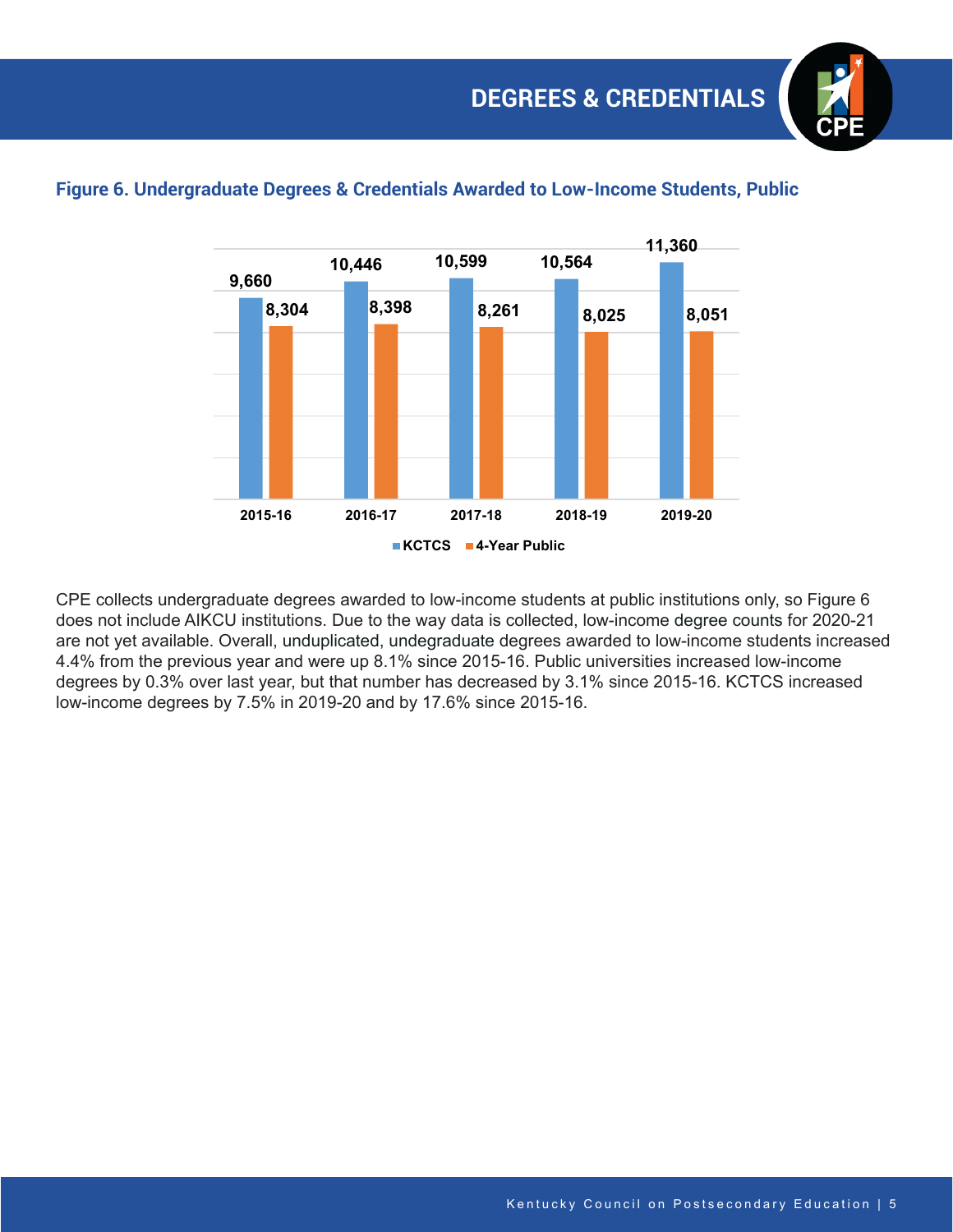

### **Figure 6. Undergraduate Degrees & Credentials Awarded to Low-Income Students, Public**

CPE collects undergraduate degrees awarded to low-income students at public institutions only, so Figure 6 does not include AIKCU institutions. Due to the way data is collected, low-income degree counts for 2020-21 are not yet available. Overall, unduplicated, undegraduate degrees awarded to low-income students increased 4.4% from the previous year and were up 8.1% since 2015-16. Public universities increased low-income degrees by 0.3% over last year, but that number has decreased by 3.1% since 2015-16. KCTCS increased low-income degrees by 7.5% in 2019-20 and by 17.6% since 2015-16.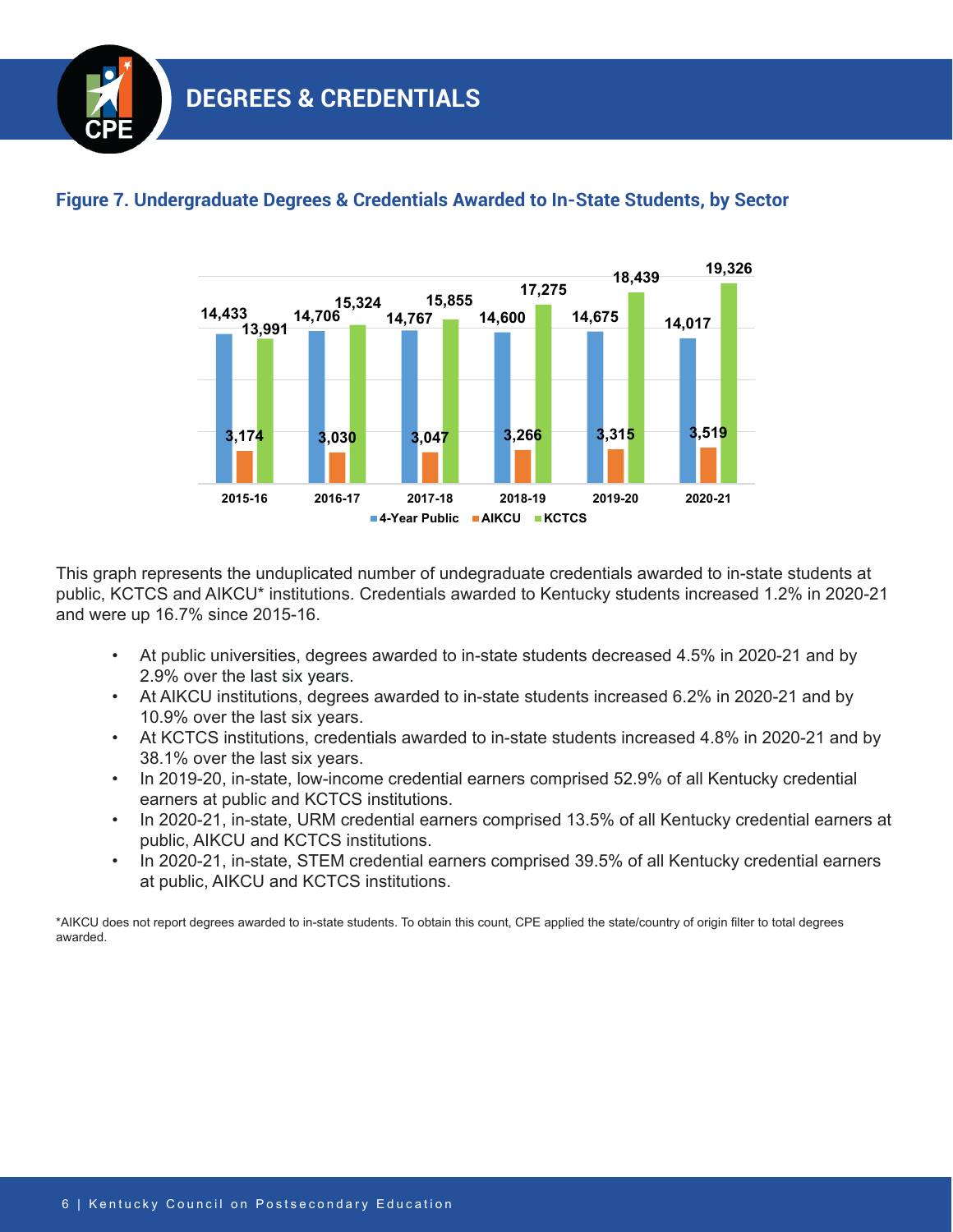

## **Figure 7. Undergraduate Degrees & Credentials Awarded to In-State Students, by Sector**

This graph represents the unduplicated number of undegraduate credentials awarded to in-state students at public, KCTCS and AIKCU\* institutions. Credentials awarded to Kentucky students increased 1.2% in 2020-21 and were up 16.7% since 2015-16.

- At public universities, degrees awarded to in-state students decreased 4.5% in 2020-21 and by 2.9% over the last six years.
- At AIKCU institutions, degrees awarded to in-state students increased 6.2% in 2020-21 and by 10.9% over the last six years.
- At KCTCS institutions, credentials awarded to in-state students increased 4.8% in 2020-21 and by 38.1% over the last six years.
- In 2019-20, in-state, low-income credential earners comprised 52.9% of all Kentucky credential earners at public and KCTCS institutions.
- In 2020-21, in-state, URM credential earners comprised 13.5% of all Kentucky credential earners at public, AIKCU and KCTCS institutions.
- In 2020-21, in-state, STEM credential earners comprised 39.5% of all Kentucky credential earners at public, AIKCU and KCTCS institutions.

\*AIKCU does not report degrees awarded to in-state students. To obtain this count, CPE applied the state/country of origin filter to total degrees awarded.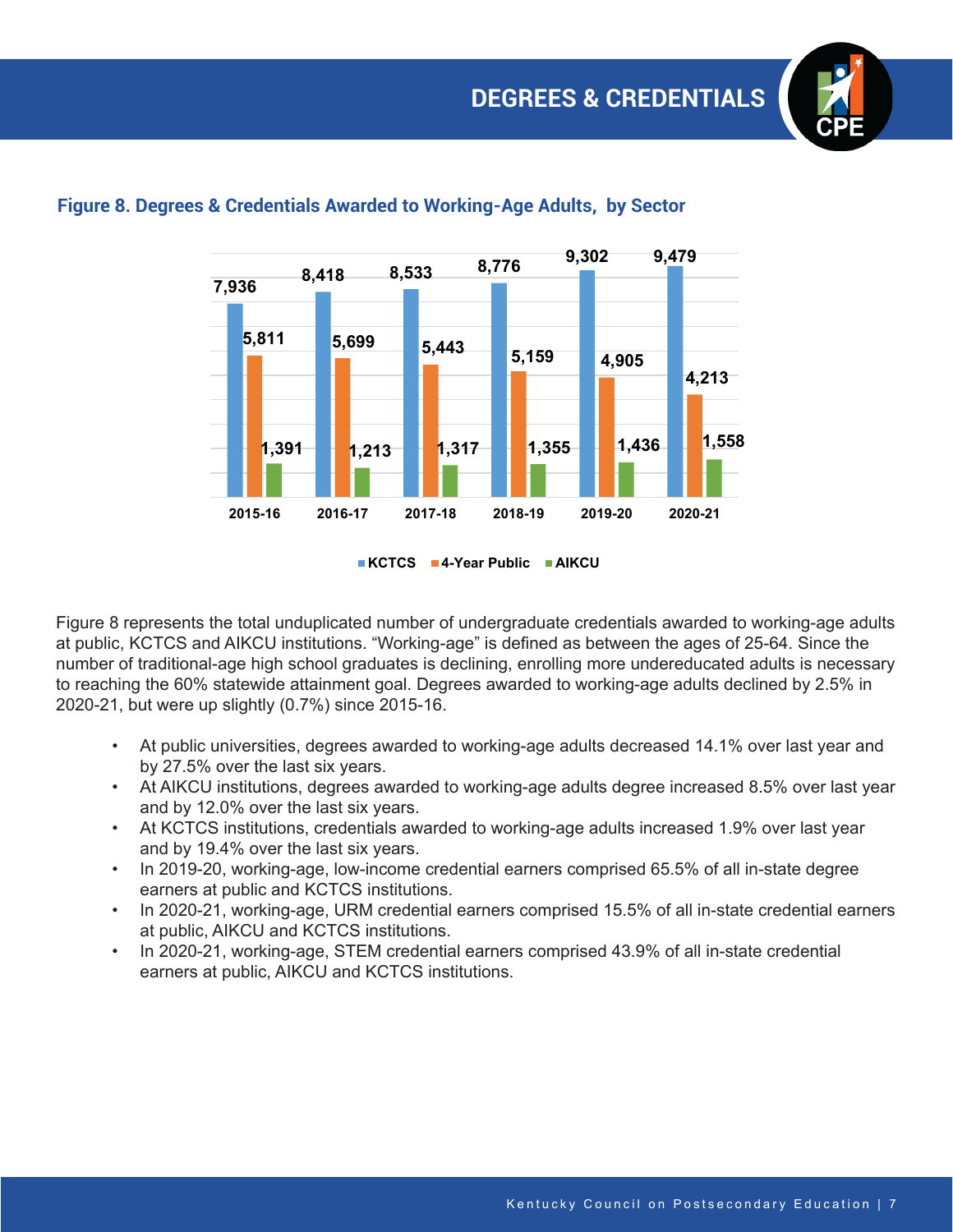

### **Figure 8. Degrees & Credentials Awarded to Working-Age Adults, by Sector**

**KCTCS 4-Year Public AIKCU**

Figure 8 represents the total unduplicated number of undergraduate credentials awarded to working-age adults at public, KCTCS and AIKCU institutions. "Working-age" is defined as between the ages of 25-64. Since the number of traditional-age high school graduates is declining, enrolling more undereducated adults is necessary to reaching the 60% statewide attainment goal. Degrees awarded to working-age adults declined by 2.5% in 2020-21, but were up slightly (0.7%) since 2015-16.

- At public universities, degrees awarded to working-age adults decreased 14.1% over last year and by 27.5% over the last six years.
- At AIKCU institutions, degrees awarded to working-age adults degree increased 8.5% over last year and by 12.0% over the last six years.
- At KCTCS institutions, credentials awarded to working-age adults increased 1.9% over last year and by 19.4% over the last six years.
- In 2019-20, working-age, low-income credential earners comprised 65.5% of all in-state degree earners at public and KCTCS institutions.
- In 2020-21, working-age, URM credential earners comprised 15.5% of all in-state credential earners at public, AIKCU and KCTCS institutions.
- In 2020-21, working-age, STEM credential earners comprised 43.9% of all in-state credential earners at public, AIKCU and KCTCS institutions.